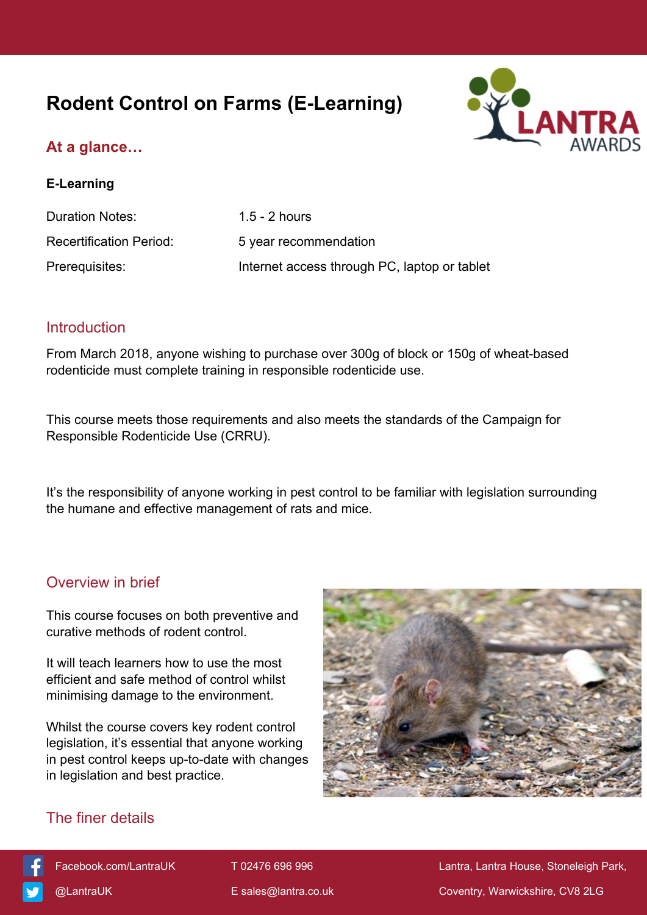# **Rodent Control on Farms (E-Learning)**



# **At a glance…**

#### **E-Learning**

| Duration Notes:                | $1.5 - 2$ hours                              |
|--------------------------------|----------------------------------------------|
| <b>Recertification Period:</b> | 5 year recommendation                        |
| Prerequisites:                 | Internet access through PC, laptop or tablet |

#### **Introduction**

From March 2018, anyone wishing to purchase over 300g of block or 150g of wheat-based rodenticide must complete training in responsible rodenticide use.

This course meets those requirements and also meets the standards of the Campaign for Responsible Rodenticide Use (CRRU).

It's the responsibility of anyone working in pest control to be familiar with legislation surrounding the humane and effective management of rats and mice.

### Overview in brief

This course focuses on both preventive and curative methods of rodent control.

It will teach learners how to use the most efficient and safe method of control whilst minimising damage to the environment.

Whilst the course covers key rodent control legislation, it's essential that anyone working in pest control keeps up-to-date with changes in legislation and best practice.



# The finer details



[Facebook.com/LantraUK](https://www.facebook.com/LantraUK/) T 02476 696 996 Lantra, Lantra, Lantra House, Stoneleigh Park, [@LantraUK](http://www.twitter.com/lantrauk) E [sales@lantra.co.uk](mailto:sales@lantra.co.uk) Coventry, Warwickshire, CV8 2LG